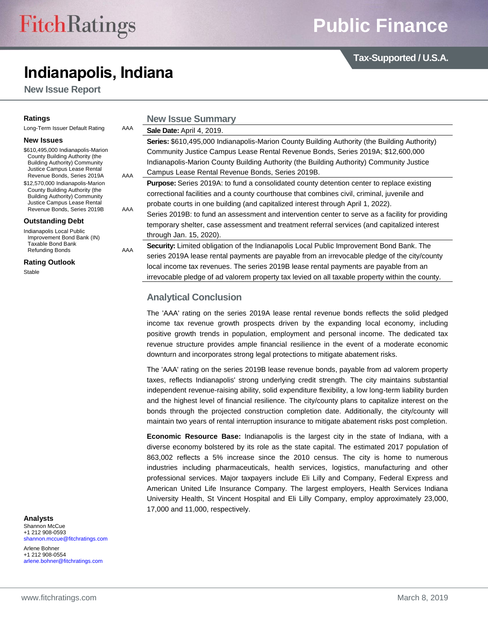# **Indianapolis, Indiana**

**New Issue Report**

**Ratings**

**Tax-Supported / U.S.A.**

| AAA<br>Long-Term Issuer Default Rating                                                                                                                                    |     | Sale Date: April 4, 2019.                  |  |  |  |  |
|---------------------------------------------------------------------------------------------------------------------------------------------------------------------------|-----|--------------------------------------------|--|--|--|--|
| <b>New Issues</b>                                                                                                                                                         |     | Series: \$610,495,000 Indianapo            |  |  |  |  |
| \$610,495,000 Indianapolis-Marion<br>County Building Authority (the<br><b>Building Authority) Community</b><br>Justice Campus Lease Rental<br>Revenue Bonds, Series 2019A |     | <b>Community Justice Campus Lea</b>        |  |  |  |  |
|                                                                                                                                                                           |     | Indianapolis-Marion County Buil            |  |  |  |  |
|                                                                                                                                                                           | AAA | Campus Lease Rental Revenue                |  |  |  |  |
| \$12,570,000 Indianapolis-Marion                                                                                                                                          |     | <b>Purpose:</b> Series 2019A: to fund      |  |  |  |  |
| County Building Authority (the<br><b>Building Authority) Community</b>                                                                                                    |     | correctional facilities and a coun         |  |  |  |  |
| Justice Campus Lease Rental                                                                                                                                               |     | probate courts in one building (a          |  |  |  |  |
| Revenue Bonds, Series 2019B                                                                                                                                               | AAA | Series 2019B: to fund an assess            |  |  |  |  |
| <b>Outstanding Debt</b>                                                                                                                                                   |     | temporary shelter, case assessr            |  |  |  |  |
| Indianapolis Local Public<br>Improvement Bond Bank (IN)<br>Taxable Bond Bank                                                                                              |     | through Jan. 15, 2020).                    |  |  |  |  |
|                                                                                                                                                                           |     | <b>Security:</b> Limited obligation of the |  |  |  |  |
| <b>Refunding Bonds</b>                                                                                                                                                    | AAA |                                            |  |  |  |  |

**Rating Outlook**

**Stable** 

**Analysts** Shannon McCue

+1 212 908-0593 [shannon.mccue@fitchratings.com](mailto:shannon.mccue@fitchratings.com)

Arlene Bohner +1 212 908-0554 [arlene.bohner@fitchratings.com](mailto:arlene.bohner@fitchratings.com)

| <b>Sale Date: April 4, 2019.</b>                                                                    |
|-----------------------------------------------------------------------------------------------------|
| <b>Series: \$610,495,000 Indianapolis-Marion County Building Authority (the Building Authority)</b> |
| Community Justice Campus Lease Rental Revenue Bonds, Series 2019A; \$12,600,000                     |
| Indianapolis-Marion County Building Authority (the Building Authority) Community Justice            |
| Campus Lease Rental Revenue Bonds, Series 2019B.                                                    |
|                                                                                                     |

a consolidated county detention center to replace existing nty courthouse that combines civil, criminal, juvenile and and capitalized interest through April 1, 2022).

sment and intervention center to serve as a facility for providing ment and treatment referral services (and capitalized interest

**Security:** Indianapolis Local Public Improvement Bond Bank. The series 2019A lease rental payments are payable from an irrevocable pledge of the city/county local income tax revenues. The series 2019B lease rental payments are payable from an irrevocable pledge of ad valorem property tax levied on all taxable property within the county.

## **Analytical Conclusion**

**New Issue Summary**

The 'AAA' rating on the series 2019A lease rental revenue bonds reflects the solid pledged income tax revenue growth prospects driven by the expanding local economy, including positive growth trends in population, employment and personal income. The dedicated tax revenue structure provides ample financial resilience in the event of a moderate economic downturn and incorporates strong legal protections to mitigate abatement risks.

The 'AAA' rating on the series 2019B lease revenue bonds, payable from ad valorem property taxes, reflects Indianapolis' strong underlying credit strength. The city maintains substantial independent revenue-raising ability, solid expenditure flexibility, a low long-term liability burden and the highest level of financial resilience. The city/county plans to capitalize interest on the bonds through the projected construction completion date. Additionally, the city/county will maintain two years of rental interruption insurance to mitigate abatement risks post completion.

**Economic Resource Base:** Indianapolis is the largest city in the state of Indiana, with a diverse economy bolstered by its role as the state capital. The estimated 2017 population of 863,002 reflects a 5% increase since the 2010 census. The city is home to numerous industries including pharmaceuticals, health services, logistics, manufacturing and other professional services. Major taxpayers include Eli Lilly and Company, Federal Express and American United Life Insurance Company. The largest employers, Health Services Indiana University Health, St Vincent Hospital and Eli Lilly Company, employ approximately 23,000, 17,000 and 11,000, respectively.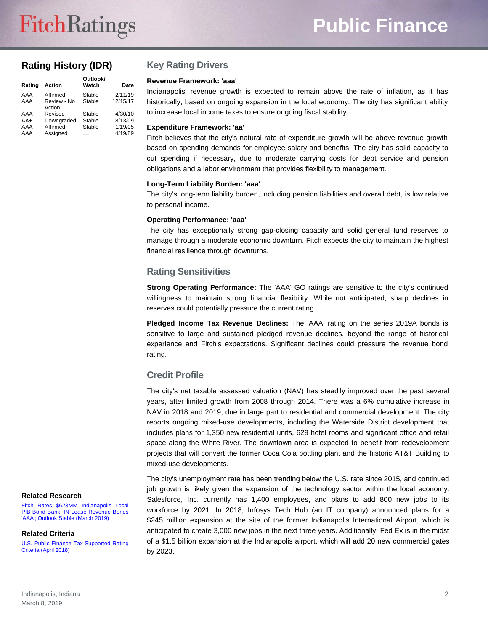## **Rating History (IDR)**

| Rating | <b>Action</b>         | Outlook/<br>Watch | <b>Date</b> |
|--------|-----------------------|-------------------|-------------|
| AAA    | Affirmed              | Stable            | 2/11/19     |
| AAA    | Review - No<br>Action | Stable            | 12/15/17    |
| AAA    | Revised               | Stable            | 4/30/10     |
| $AA+$  | Downgraded            | Stable            | 8/13/09     |
| AAA    | Affirmed              | Stable            | 1/19/05     |
| AAA    | Assigned              |                   | 4/19/89     |

## **Key Rating Drivers**

#### **Revenue Framework: 'aaa'**

Indianapolis' revenue growth is expected to remain above the rate of inflation, as it has historically, based on ongoing expansion in the local economy. The city has significant ability to increase local income taxes to ensure ongoing fiscal stability.

#### **Expenditure Framework: 'aa'**

Fitch believes that the city's natural rate of expenditure growth will be above revenue growth based on spending demands for employee salary and benefits. The city has solid capacity to cut spending if necessary, due to moderate carrying costs for debt service and pension obligations and a labor environment that provides flexibility to management.

#### **Long-Term Liability Burden: 'aaa'**

The city's long-term liability burden, including pension liabilities and overall debt, is low relative to personal income.

#### **Operating Performance: 'aaa'**

The city has exceptionally strong gap-closing capacity and solid general fund reserves to manage through a moderate economic downturn. Fitch expects the city to maintain the highest financial resilience through downturns.

## **Rating Sensitivities**

**Strong Operating Performance:** The 'AAA' GO ratings are sensitive to the city's continued willingness to maintain strong financial flexibility. While not anticipated, sharp declines in reserves could potentially pressure the current rating.

**Pledged Income Tax Revenue Declines:** The 'AAA' rating on the series 2019A bonds is sensitive to large and sustained pledged revenue declines, beyond the range of historical experience and Fitch's expectations. Significant declines could pressure the revenue bond rating.

## **Credit Profile**

The city's net taxable assessed valuation (NAV) has steadily improved over the past several years, after limited growth from 2008 through 2014. There was a 6% cumulative increase in NAV in 2018 and 2019, due in large part to residential and commercial development. The city reports ongoing mixed-use developments, including the Waterside District development that includes plans for 1,350 new residential units, 629 hotel rooms and significant office and retail space along the White River. The downtown area is expected to benefit from redevelopment projects that will convert the former Coca Cola bottling plant and the historic AT&T Building to mixed-use developments.

The city's unemployment rate has been trending below the U.S. rate since 2015, and continued job growth is likely given the expansion of the technology sector within the local economy. Salesforce, Inc. currently has 1,400 employees, and plans to add 800 new jobs to its workforce by 2021. In 2018, Infosys Tech Hub (an IT company) announced plans for a \$245 million expansion at the site of the former Indianapolis International Airport, which is anticipated to create 3,000 new jobs in the next three years. Additionally, Fed Ex is in the midst of a \$1.5 billion expansion at the Indianapolis airport, which will add 20 new commercial gates by 2023.

#### **Related Research**

[Fitch Rates \\$623MM Indianapolis Local](http://api.fitchconnect.com/v1/research/FR_PR_10064494)  [PIB Bond Bank, IN Lease Revenue Bonds](http://api.fitchconnect.com/v1/research/FR_PR_10064494)  ['AAA'; Outlook Stable \(March 2019\)](http://api.fitchconnect.com/v1/research/FR_PR_10064494)

#### **Related Criteria**

[U.S. Public Finance Tax-Supported Rating](http://api.fitchconnect.com/v1/research/FR_RPT_919253)  [Criteria \(April 2018\)](http://api.fitchconnect.com/v1/research/FR_RPT_919253)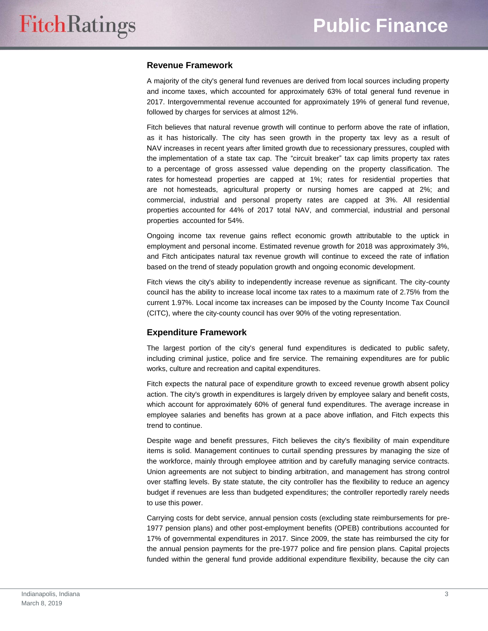## **Revenue Framework**

A majority of the city's general fund revenues are derived from local sources including property and income taxes, which accounted for approximately 63% of total general fund revenue in 2017. Intergovernmental revenue accounted for approximately 19% of general fund revenue, followed by charges for services at almost 12%.

Fitch believes that natural revenue growth will continue to perform above the rate of inflation, as it has historically. The city has seen growth in the property tax levy as a result of NAV increases in recent years after limited growth due to recessionary pressures, coupled with the implementation of a state tax cap. The "circuit breaker" tax cap limits property tax rates to a percentage of gross assessed value depending on the property classification. The rates for homestead properties are capped at 1%; rates for residential properties that are not homesteads, agricultural property or nursing homes are capped at 2%; and commercial, industrial and personal property rates are capped at 3%. All residential properties accounted for 44% of 2017 total NAV, and commercial, industrial and personal properties accounted for 54%.

Ongoing income tax revenue gains reflect economic growth attributable to the uptick in employment and personal income. Estimated revenue growth for 2018 was approximately 3%, and Fitch anticipates natural tax revenue growth will continue to exceed the rate of inflation based on the trend of steady population growth and ongoing economic development.

Fitch views the city's ability to independently increase revenue as significant. The city-county council has the ability to increase local income tax rates to a maximum rate of 2.75% from the current 1.97%. Local income tax increases can be imposed by the County Income Tax Council (CITC), where the city-county council has over 90% of the voting representation.

#### **Expenditure Framework**

The largest portion of the city's general fund expenditures is dedicated to public safety, including criminal justice, police and fire service. The remaining expenditures are for public works, culture and recreation and capital expenditures.

Fitch expects the natural pace of expenditure growth to exceed revenue growth absent policy action. The city's growth in expenditures is largely driven by employee salary and benefit costs, which account for approximately 60% of general fund expenditures. The average increase in employee salaries and benefits has grown at a pace above inflation, and Fitch expects this trend to continue.

Despite wage and benefit pressures, Fitch believes the city's flexibility of main expenditure items is solid. Management continues to curtail spending pressures by managing the size of the workforce, mainly through employee attrition and by carefully managing service contracts. Union agreements are not subject to binding arbitration, and management has strong control over staffing levels. By state statute, the city controller has the flexibility to reduce an agency budget if revenues are less than budgeted expenditures; the controller reportedly rarely needs to use this power.

Carrying costs for debt service, annual pension costs (excluding state reimbursements for pre-1977 pension plans) and other post-employment benefits (OPEB) contributions accounted for 17% of governmental expenditures in 2017. Since 2009, the state has reimbursed the city for the annual pension payments for the pre-1977 police and fire pension plans. Capital projects funded within the general fund provide additional expenditure flexibility, because the city can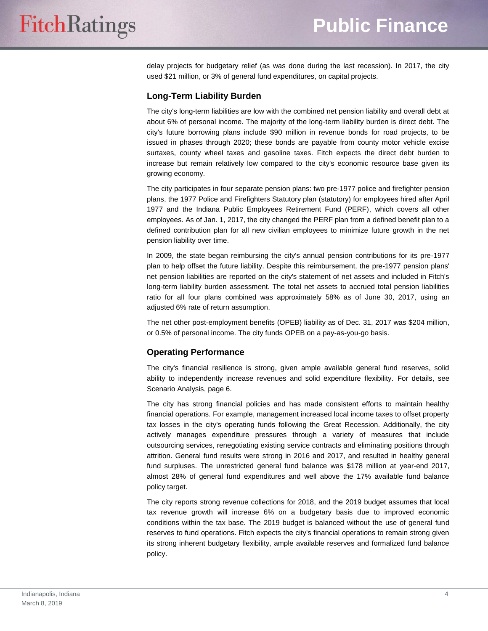delay projects for budgetary relief (as was done during the last recession). In 2017, the city used \$21 million, or 3% of general fund expenditures, on capital projects.

#### **Long-Term Liability Burden**

The city's long-term liabilities are low with the combined net pension liability and overall debt at about 6% of personal income. The majority of the long-term liability burden is direct debt. The city's future borrowing plans include \$90 million in revenue bonds for road projects, to be issued in phases through 2020; these bonds are payable from county motor vehicle excise surtaxes, county wheel taxes and gasoline taxes. Fitch expects the direct debt burden to increase but remain relatively low compared to the city's economic resource base given its growing economy.

The city participates in four separate pension plans: two pre-1977 police and firefighter pension plans, the 1977 Police and Firefighters Statutory plan (statutory) for employees hired after April 1977 and the Indiana Public Employees Retirement Fund (PERF), which covers all other employees. As of Jan. 1, 2017, the city changed the PERF plan from a defined benefit plan to a defined contribution plan for all new civilian employees to minimize future growth in the net pension liability over time.

In 2009, the state began reimbursing the city's annual pension contributions for its pre-1977 plan to help offset the future liability. Despite this reimbursement, the pre-1977 pension plans' net pension liabilities are reported on the city's statement of net assets and included in Fitch's long-term liability burden assessment. The total net assets to accrued total pension liabilities ratio for all four plans combined was approximately 58% as of June 30, 2017, using an adjusted 6% rate of return assumption.

The net other post-employment benefits (OPEB) liability as of Dec. 31, 2017 was \$204 million, or 0.5% of personal income. The city funds OPEB on a pay-as-you-go basis.

## **Operating Performance**

The city's financial resilience is strong, given ample available general fund reserves, solid ability to independently increase revenues and solid expenditure flexibility. For details, see Scenario Analysis, page 6.

The city has strong financial policies and has made consistent efforts to maintain healthy financial operations. For example, management increased local income taxes to offset property tax losses in the city's operating funds following the Great Recession. Additionally, the city actively manages expenditure pressures through a variety of measures that include outsourcing services, renegotiating existing service contracts and eliminating positions through attrition. General fund results were strong in 2016 and 2017, and resulted in healthy general fund surpluses. The unrestricted general fund balance was \$178 million at year-end 2017, almost 28% of general fund expenditures and well above the 17% available fund balance policy target.

The city reports strong revenue collections for 2018, and the 2019 budget assumes that local tax revenue growth will increase 6% on a budgetary basis due to improved economic conditions within the tax base. The 2019 budget is balanced without the use of general fund reserves to fund operations. Fitch expects the city's financial operations to remain strong given its strong inherent budgetary flexibility, ample available reserves and formalized fund balance policy.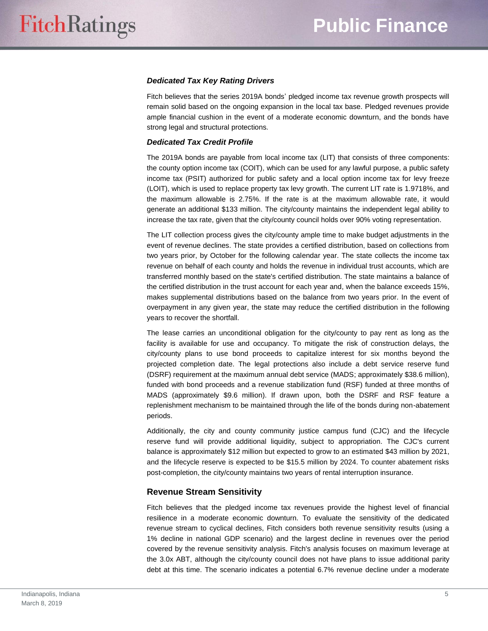#### *Dedicated Tax Key Rating Drivers*

Fitch believes that the series 2019A bonds' pledged income tax revenue growth prospects will remain solid based on the ongoing expansion in the local tax base. Pledged revenues provide ample financial cushion in the event of a moderate economic downturn, and the bonds have strong legal and structural protections.

#### *Dedicated Tax Credit Profile*

The 2019A bonds are payable from local income tax (LIT) that consists of three components: the county option income tax (COIT), which can be used for any lawful purpose, a public safety income tax (PSIT) authorized for public safety and a local option income tax for levy freeze (LOIT), which is used to replace property tax levy growth. The current LIT rate is 1.9718%, and the maximum allowable is 2.75%. If the rate is at the maximum allowable rate, it would generate an additional \$133 million. The city/county maintains the independent legal ability to increase the tax rate, given that the city/county council holds over 90% voting representation.

The LIT collection process gives the city/county ample time to make budget adjustments in the event of revenue declines. The state provides a certified distribution, based on collections from two years prior, by October for the following calendar year. The state collects the income tax revenue on behalf of each county and holds the revenue in individual trust accounts, which are transferred monthly based on the state's certified distribution. The state maintains a balance of the certified distribution in the trust account for each year and, when the balance exceeds 15%, makes supplemental distributions based on the balance from two years prior. In the event of overpayment in any given year, the state may reduce the certified distribution in the following years to recover the shortfall.

The lease carries an unconditional obligation for the city/county to pay rent as long as the facility is available for use and occupancy. To mitigate the risk of construction delays, the city/county plans to use bond proceeds to capitalize interest for six months beyond the projected completion date. The legal protections also include a debt service reserve fund (DSRF) requirement at the maximum annual debt service (MADS; approximately \$38.6 million), funded with bond proceeds and a revenue stabilization fund (RSF) funded at three months of MADS (approximately \$9.6 million). If drawn upon, both the DSRF and RSF feature a replenishment mechanism to be maintained through the life of the bonds during non-abatement periods.

Additionally, the city and county community justice campus fund (CJC) and the lifecycle reserve fund will provide additional liquidity, subject to appropriation. The CJC's current balance is approximately \$12 million but expected to grow to an estimated \$43 million by 2021, and the lifecycle reserve is expected to be \$15.5 million by 2024. To counter abatement risks post-completion, the city/county maintains two years of rental interruption insurance.

## **Revenue Stream Sensitivity**

Fitch believes that the pledged income tax revenues provide the highest level of financial resilience in a moderate economic downturn. To evaluate the sensitivity of the dedicated revenue stream to cyclical declines, Fitch considers both revenue sensitivity results (using a 1% decline in national GDP scenario) and the largest decline in revenues over the period covered by the revenue sensitivity analysis. Fitch's analysis focuses on maximum leverage at the 3.0x ABT, although the city/county council does not have plans to issue additional parity debt at this time. The scenario indicates a potential 6.7% revenue decline under a moderate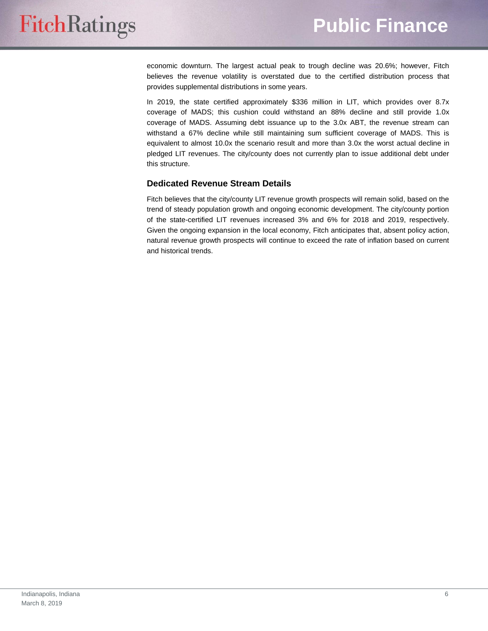economic downturn. The largest actual peak to trough decline was 20.6%; however, Fitch believes the revenue volatility is overstated due to the certified distribution process that provides supplemental distributions in some years.

In 2019, the state certified approximately \$336 million in LIT, which provides over 8.7x coverage of MADS; this cushion could withstand an 88% decline and still provide 1.0x coverage of MADS. Assuming debt issuance up to the 3.0x ABT, the revenue stream can withstand a 67% decline while still maintaining sum sufficient coverage of MADS. This is equivalent to almost 10.0x the scenario result and more than 3.0x the worst actual decline in pledged LIT revenues. The city/county does not currently plan to issue additional debt under this structure.

## **Dedicated Revenue Stream Details**

Fitch believes that the city/county LIT revenue growth prospects will remain solid, based on the trend of steady population growth and ongoing economic development. The city/county portion of the state-certified LIT revenues increased 3% and 6% for 2018 and 2019, respectively. Given the ongoing expansion in the local economy, Fitch anticipates that, absent policy action, natural revenue growth prospects will continue to exceed the rate of inflation based on current and historical trends.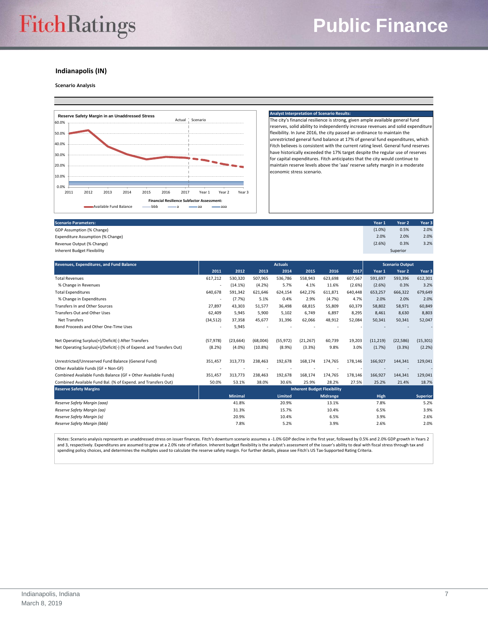#### **Indianapolis (IN)**

## **Scenario Analysis**



#### **Analyst Interpretation of Scenario Rest**

The city's financial resilience is strong, given ample available general fund reserves, solid ability to independently increase revenues and solid expenditure flexibility. In June 2016, the city passed an ordinance to maintain the unrestricted general fund balance at 17% of general fund expenditures, which Fitch believes is consistent with the current rating level. General fund reserves have historically exceeded the 17% target despite the regular use of reserves for capital expenditures. Fitch anticipates that the city would continue to maintain reserve levels above the 'aaa' reserve safety margin in a moderate economic stress scenario.

| <b>Scenario Parameters:</b>       | Year 1    | Year <sub>2</sub> | Year 3 |
|-----------------------------------|-----------|-------------------|--------|
| GDP Assumption (% Change)         | $(1.0\%)$ | 0.5%              | 2.0%   |
| Expenditure Assumption (% Change) | 2.0%      | 2.0%              | 2.0%   |
| Revenue Output (% Change)         | (2.6%)    | 0.3%              | 3.2%   |
| Inherent Budget Flexibility       | Superior  |                   |        |
|                                   |           |                   |        |

| Revenues, Expenditures, and Fund Balance                             | <b>Actuals</b>                     |                |          |                |           | <b>Scenario Output</b> |         |           |           |                 |
|----------------------------------------------------------------------|------------------------------------|----------------|----------|----------------|-----------|------------------------|---------|-----------|-----------|-----------------|
|                                                                      | 2011                               | 2012           | 2013     | 2014           | 2015      | 2016                   | 2017    | Year 1    | Year 2    | Year 3          |
| <b>Total Revenues</b>                                                | 617,212                            | 530,320        | 507,965  | 536,786        | 558,943   | 623,698                | 607,567 | 591,697   | 593,396   | 612,301         |
| % Change in Revenues                                                 |                                    | (14.1%)        | (4.2%)   | 5.7%           | 4.1%      | 11.6%                  | (2.6%)  | (2.6%)    | 0.3%      | 3.2%            |
| <b>Total Expenditures</b>                                            | 640,678                            | 591,342        | 621,646  | 624,154        | 642,276   | 611,871                | 640,448 | 653,257   | 666,322   | 679,649         |
| % Change in Expenditures                                             | $\overline{\phantom{a}}$           | (7.7%          | 5.1%     | 0.4%           | 2.9%      | (4.7%)                 | 4.7%    | 2.0%      | 2.0%      | 2.0%            |
| <b>Transfers In and Other Sources</b>                                | 27.897                             | 43,303         | 51.577   | 36.498         | 68,815    | 55,809                 | 60,379  | 58.802    | 58.971    | 60,849          |
| <b>Transfers Out and Other Uses</b>                                  | 62,409                             | 5,945          | 5.900    | 5,102          | 6,749     | 6.897                  | 8,295   | 8.461     | 8,630     | 8,803           |
| <b>Net Transfers</b>                                                 | (34, 512)                          | 37,358         | 45,677   | 31,396         | 62,066    | 48,912                 | 52,084  | 50,341    | 50,341    | 52,047          |
| Bond Proceeds and Other One-Time Uses                                |                                    | 5,945          |          |                |           |                        |         |           |           |                 |
|                                                                      |                                    |                |          |                |           |                        |         |           |           |                 |
| Net Operating Surplus(+)/Deficit(-) After Transfers                  | (57, 978)                          | (23, 664)      | (68,004) | (55, 972)      | (21, 267) | 60,739                 | 19,203  | (11, 219) | (22, 586) | (15, 301)       |
| Net Operating Surplus(+)/Deficit(-) (% of Expend. and Transfers Out) | (8.2%)                             | (4.0%          | (10.8%)  | $(8.9\%)$      | (3.3%)    | 9.8%                   | 3.0%    | (1.7%)    | (3.3%)    | (2.2%)          |
| Unrestricted/Unreserved Fund Balance (General Fund)                  | 351,457                            | 313,773        | 238,463  | 192,678        | 168,174   | 174,765                | 178,146 | 166,927   | 144,341   | 129,041         |
| Other Available Funds (GF + Non-GF)                                  |                                    |                |          |                |           |                        |         |           |           |                 |
| Combined Available Funds Balance (GF + Other Available Funds)        | 351,457                            | 313,773        | 238,463  | 192,678        | 168,174   | 174,765                | 178,146 | 166,927   | 144,341   | 129,041         |
| Combined Available Fund Bal. (% of Expend. and Transfers Out)        | 50.0%                              | 53.1%          | 38.0%    | 30.6%          | 25.9%     | 28.2%                  | 27.5%   | 25.2%     | 21.4%     | 18.7%           |
| <b>Reserve Safety Margins</b>                                        | <b>Inherent Budget Flexibility</b> |                |          |                |           |                        |         |           |           |                 |
|                                                                      |                                    | <b>Minimal</b> |          | <b>Limited</b> |           | <b>Midrange</b>        |         | High      |           | <b>Superior</b> |
| Reserve Safety Margin (aaa)                                          |                                    | 41.8%          |          | 20.9%          |           | 13.1%                  |         | 7.8%      |           | 5.2%            |
| Reserve Safety Margin (aa)                                           |                                    | 31.3%          |          | 15.7%          |           | 10.4%                  |         | 6.5%      |           | 3.9%            |
| Reserve Safety Margin (a)                                            |                                    | 20.9%          |          | 10.4%          |           | 6.5%                   |         | 3.9%      |           | 2.6%            |
| Reserve Safety Margin (bbb)                                          |                                    | 7.8%           |          | 5.2%           |           | 3.9%                   |         | 2.6%      |           | 2.0%            |

Notes: Scenario analysis represents an unaddressed stress on issuer finances. Fitch's downturn scenario assumes a -1.0% GDP decline in the first year, followed by 0.5% and 2.0% GDP growth in Years 2 and 3, respectively. Expenditures are assumed to grow at a 2.0% rate of inflation. Inherent budget flexibility is the analyst's assessment of the issuer's ability to deal with fiscal stress through tax and<br>spending policy